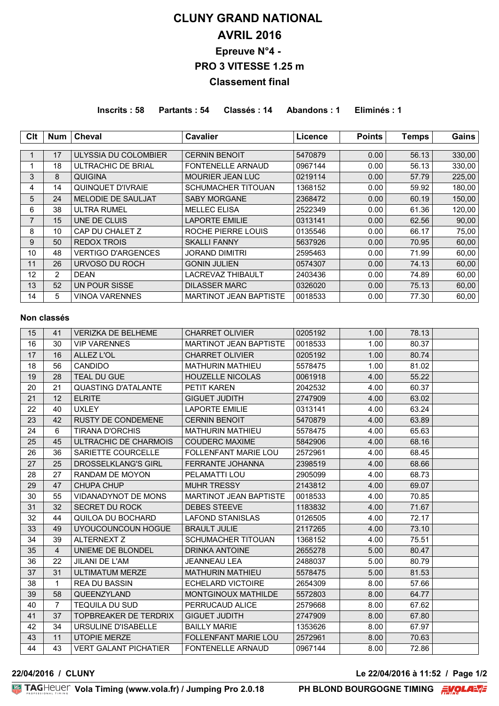# **CLUNY GRAND NATIONAL AVRIL 2016 Epreuve N°4 - PRO 3 VITESSE 1.25 m Classement final**

**Inscrits : 58 Partants : 54 Classés : 14 Abandons : 1 Eliminés : 1**

| Clt             | Num             | <b>Cheval</b>             | <b>Cavalier</b>               | Licence | <b>Points</b> | <b>Temps</b> | Gains  |
|-----------------|-----------------|---------------------------|-------------------------------|---------|---------------|--------------|--------|
|                 |                 |                           |                               |         |               |              |        |
|                 | 17              | ULYSSIA DU COLOMBIER      | <b>CERNIN BENOIT</b>          | 5470879 | 0.00          | 56.13        | 330,00 |
|                 | 18              | ULTRACHIC DE BRIAL        | <b>FONTENELLE ARNAUD</b>      | 0967144 | 0.00          | 56.13        | 330,00 |
| 3               | 8               | QUIGINA                   | <b>MOURIER JEAN LUC</b>       | 0219114 | 0.00          | 57.79        | 225,00 |
| 4               | 14              | QUINQUET D'IVRAIE         | <b>SCHUMACHER TITOUAN</b>     | 1368152 | 0.00          | 59.92        | 180,00 |
| 5               | 24              | <b>MELODIE DE SAULJAT</b> | <b>SABY MORGANE</b>           | 2368472 | 0.00          | 60.19        | 150,00 |
| 6               | 38              | ULTRA RUMEL               | <b>MELLEC ELISA</b>           | 2522349 | 0.00          | 61.36        | 120,00 |
| $\overline{7}$  | 15              | UNE DE CLUIS              | <b>LAPORTE EMILIE</b>         | 0313141 | 0.00          | 62.56        | 90,00  |
| 8               | 10              | CAP DU CHALET Z           | ROCHE PIERRE LOUIS            | 0135546 | 0.00          | 66.17        | 75,00  |
| 9               | 50              | <b>REDOX TROIS</b>        | <b>SKALLI FANNY</b>           | 5637926 | 0.00          | 70.95        | 60,00  |
| 10              | 48              | <b>VERTIGO D'ARGENCES</b> | JORAND DIMITRI                | 2595463 | 0.00          | 71.99        | 60,00  |
| 11              | 26              | URVOSO DU ROCH            | <b>GONIN JULIEN</b>           | 0574307 | 0.00          | 74.13        | 60,00  |
| 12 <sup>2</sup> | 2               | <b>DEAN</b>               | <b>LACREVAZ THIBAULT</b>      | 2403436 | 0.00          | 74.89        | 60,00  |
| 13              | 52 <sub>2</sub> | UN POUR SISSE             | <b>DILASSER MARC</b>          | 0326020 | 0.00          | 75.13        | 60,00  |
| 14              | 5.              | <b>VINOA VARENNES</b>     | <b>MARTINOT JEAN BAPTISTE</b> | 0018533 | 0.00          | 77.30        | 60,00  |

### **Non classés**

| 15 | 41             | <b>VERIZKA DE BELHEME</b>    | <b>CHARRET OLIVIER</b>        | 0205192 | 1.00 | 78.13 |  |
|----|----------------|------------------------------|-------------------------------|---------|------|-------|--|
| 16 | 30             | <b>VIP VARENNES</b>          | <b>MARTINOT JEAN BAPTISTE</b> | 0018533 | 1.00 | 80.37 |  |
| 17 | 16             | ALLEZ L'OL                   | <b>CHARRET OLIVIER</b>        | 0205192 | 1.00 | 80.74 |  |
| 18 | 56             | <b>CANDIDO</b>               | <b>MATHURIN MATHIEU</b>       | 5578475 | 1.00 | 81.02 |  |
| 19 | 28             | <b>TEAL DU GUE</b>           | <b>HOUZELLE NICOLAS</b>       | 0061918 | 4.00 | 55.22 |  |
| 20 | 21             | <b>QUASTING D'ATALANTE</b>   | <b>PETIT KAREN</b>            | 2042532 | 4.00 | 60.37 |  |
| 21 | 12             | <b>ELRITE</b>                | <b>GIGUET JUDITH</b>          | 2747909 | 4.00 | 63.02 |  |
| 22 | 40             | <b>UXLEY</b>                 | <b>LAPORTE EMILIE</b>         | 0313141 | 4.00 | 63.24 |  |
| 23 | 42             | <b>RUSTY DE CONDEMENE</b>    | <b>CERNIN BENOIT</b>          | 5470879 | 4.00 | 63.89 |  |
| 24 | 6              | <b>TIRANA D'ORCHIS</b>       | <b>MATHURIN MATHIEU</b>       | 5578475 | 4.00 | 65.63 |  |
| 25 | 45             | ULTRACHIC DE CHARMOIS        | <b>COUDERC MAXIME</b>         | 5842906 | 4.00 | 68.16 |  |
| 26 | 36             | SARIETTE COURCELLE           | <b>FOLLENFANT MARIE LOU</b>   | 2572961 | 4.00 | 68.45 |  |
| 27 | 25             | <b>DROSSELKLANG'S GIRL</b>   | <b>FERRANTE JOHANNA</b>       | 2398519 | 4.00 | 68.66 |  |
| 28 | 27             | RANDAM DE MOYON              | PELAMATTI LOU                 | 2905099 | 4.00 | 68.73 |  |
| 29 | 47             | <b>CHUPA CHUP</b>            | <b>MUHR TRESSY</b>            | 2143812 | 4.00 | 69.07 |  |
| 30 | 55             | <b>VIDANADYNOT DE MONS</b>   | MARTINOT JEAN BAPTISTE        | 0018533 | 4.00 | 70.85 |  |
| 31 | 32             | <b>SECRET DU ROCK</b>        | <b>DEBES STEEVE</b>           | 1183832 | 4.00 | 71.67 |  |
| 32 | 44             | QUILOA DU BOCHARD            | <b>LAFOND STANISLAS</b>       | 0126505 | 4.00 | 72.17 |  |
| 33 | 49             | UYOUCOUNCOUN HOGUE           | <b>BRAULT JULIE</b>           | 2117265 | 4.00 | 73.10 |  |
| 34 | 39             | <b>ALTERNEXT Z</b>           | SCHUMACHER TITOUAN            | 1368152 | 4.00 | 75.51 |  |
| 35 | $\overline{4}$ | UNIEME DE BLONDEL            | <b>DRINKA ANTOINE</b>         | 2655278 | 5.00 | 80.47 |  |
| 36 | 22             | <b>JILANI DE L'AM</b>        | <b>JEANNEAU LEA</b>           | 2488037 | 5.00 | 80.79 |  |
| 37 | 31             | <b>ULTIMATUM MERZE</b>       | <b>MATHURIN MATHIEU</b>       | 5578475 | 5.00 | 81.53 |  |
| 38 | 1              | <b>REA DU BASSIN</b>         | <b>ECHELARD VICTOIRE</b>      | 2654309 | 8.00 | 57.66 |  |
| 39 | 58             | QUEENZYLAND                  | MONTGINOUX MATHILDE           | 5572803 | 8.00 | 64.77 |  |
| 40 | 7              | <b>TEQUILA DU SUD</b>        | PERRUCAUD ALICE               | 2579668 | 8.00 | 67.62 |  |
| 41 | 37             | <b>TOPBREAKER DE TERDRIX</b> | <b>GIGUET JUDITH</b>          | 2747909 | 8.00 | 67.80 |  |
| 42 | 34             | URSULINE D'ISABELLE          | <b>BAILLY MARIE</b>           | 1353626 | 8.00 | 67.97 |  |
| 43 | 11             | <b>UTOPIE MERZE</b>          | <b>FOLLENFANT MARIE LOU</b>   | 2572961 | 8.00 | 70.63 |  |
| 44 | 43             | <b>VERT GALANT PICHATIER</b> | <b>FONTENELLE ARNAUD</b>      | 0967144 | 8.00 | 72.86 |  |

**22/04/2016 / CLUNY Le 22/04/2016 à 11:52 / Page 1/2**